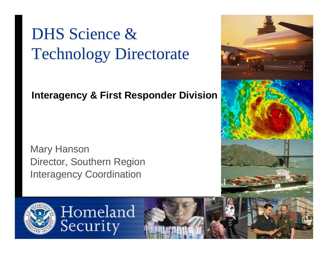# DHS Science & Technology Directorate

#### **Interagency & First Responder Division**

Mary Hanson Director, Southern Region Interagency Coordination

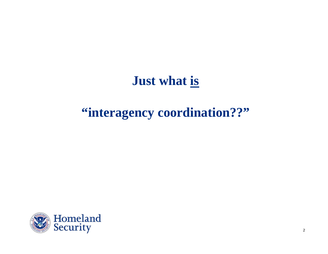#### **Just what is**

### **"interagency coordination??"**

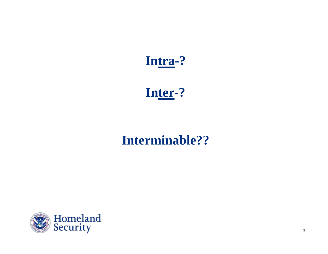#### **Intra-?**

#### **Inter-?**

### **Interminable??**

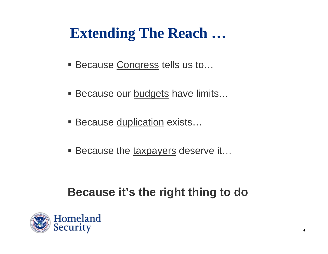# **Extending The Reach …**

- Because Congress tells us to...
- Because our **budgets** have limits...
- Because <u>duplication</u> exists…
- Because the taxpayers deserve it...

#### **Because it's the right thing to do**

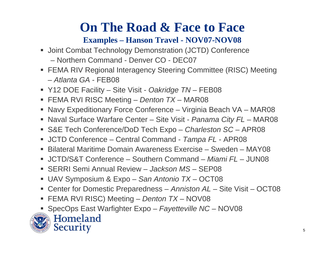## **On The Road & Face to Face**

#### **Examples – Hanson Travel - NOV07-NOV08**

- **Joint Combat Technology Demonstration (JCTD) Conference** – Northern Command - Denver CO - DEC07
- FEMA RIV Regional Interagency Steering Committee (RISC) Meeting – *Atlanta GA* - FEB08
- Y12 DOE Facility Site Visit *Oakridge TN*  FEB08
- FEMA RVI RISC Meeting *Denton TX*  MAR08
- Navy Expeditionary Force Conference Virginia Beach VA MAR08
- Naval Surface Warfare Center Site Visit *Panama City FL*  MAR08
- S&E Tech Conference/DoD Tech Expo *Charleston SC*  APR08
- JCTD Conference Central Command *Tampa FL*  APR08
- $\blacksquare$ Bilateral Maritime Domain Awareness Exercise – Sweden – MAY08
- JCTD/S&T Conference Southern Command *Miami FL*  JUN08
- SERRI Semi Annual Review Jackson MS SEP08
- $\blacksquare$ UAV Symposium & Expo – *San Antonio TX* – OCT08
- $\blacksquare$ Center for Domestic Preparedness – *Anniston AL* – Site Visit – OCT08
- $\blacksquare$ FEMA RVI RISC) Meeting – *Denton TX* – NOV08
- ▉ SpecOps East Warfighter Expo – *Fayetteville NC* – NOV08



Homeland Security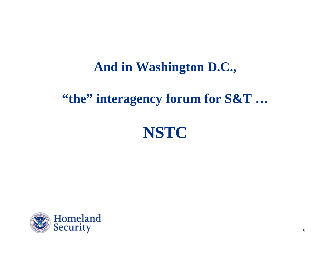#### **And in Washington D.C.,**

### **"the" interagency forum for S&T …**



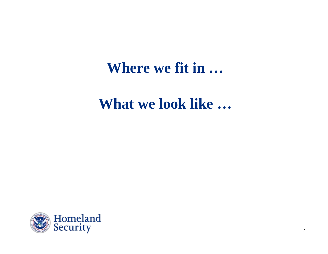## **Where we fit in …**

### **What we look like …**

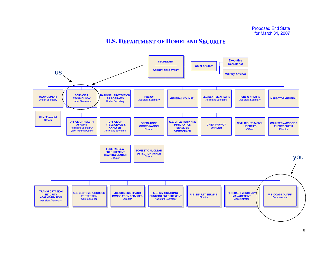#### **U.S. DEPARTMENT OF HOMELAND SECURITY**

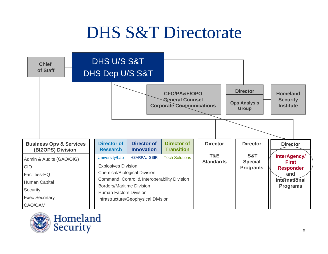# DHS S&T Directorate





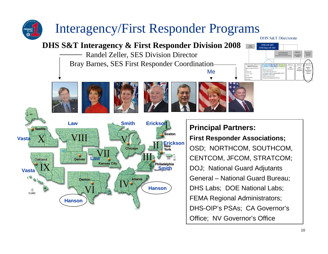## Interagency/First Responder Programs

#### **DHS S&T Interagency & First Responder Division 2008**

Randel Zeller, SES Division Director Bray Barnes, SES First Responder Coordination











Me



### **Principal Partners:**

#### **First Responder Associations;** OSD; NORTHCOM, SOUTHCOM, CENTCOM, JFCOM, STRATCOM; DOJ; National Guard Adjutants General – National Guard Bureau; DHS Labs; DOE National Labs; FEMA Regional Administrators; DHS-OIP's PSAs; CA Governor's Office; NV Governor's Office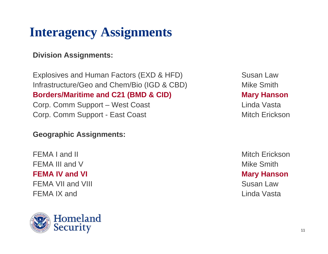## **Interagency Assignments**

#### **Division Assignments:**

Explosives and Human Factors (EXD & HFD) Susan Law Infrastructure/Geo and Chem/Bio (IGD & CBD) Mike Smith **Borders/Maritime and C21 (BMD & CID) Mary Hanson** 

Corp. Comm Support – West Coast Linda Vasta Corp. Comm Support - East Coast **Mitch Erickson** 

#### **Geographic Assignments:**

FEMA I and II and II and II and II and II and II and II and II and II and II and II and II and II and II and I FEMA III and V Mike Smith **FEMA IV and VI Mary Hanson** FEMA VII and VIII Susan Law FEMA IX and Linda Vasta

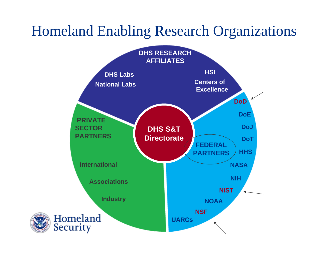## Homeland Enabling Research Organizations

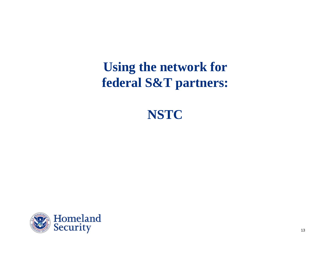### **Using the network for federal S&T partners:**



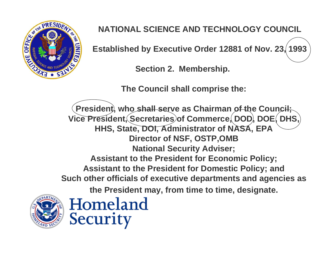

#### **NATIONAL SCIENCE AND TECHNOLOGY COUNCIL**

**Established by Executive Order 12881 of Nov. 23, 1993**

**Section 2. Membership.**

**The Council shall comprise the:** 

**President, who shall serve as Chairman of the Council; Vice President, Secretaries of Commerce, DOD, DOE, DHS, HHS, State, DOI, Administrator of NASA, EPA Director of NSF, OSTP,OMB National Security Adviser; Assistant to the President for Economic Policy; Assistant to the President for Domestic Policy; and Such other officials of executive departments and agencies as the President may, from time to time, designate.**



Homeland Security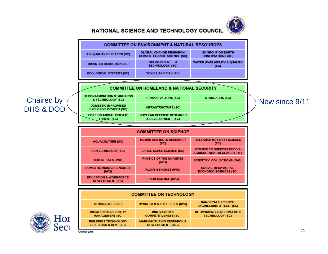

**NETWORKING & INFORMATION** 

**TECHNOLOGY (SC)** 

#### **NATIONAL SCIENCE AND TECHNOLOGY COUNCIL**



**INNOVATION &** 

**COMPETITIVENESS (SC)** 

**MANUFACTURING RESEARCH &** 

**DEVELOPMENT (IWG)** 



**BIOMETRICS & IDENTITY** 

**MANAGEMENT (SC)** 

**BUILDINGS TECHNOLOGY** 

**RESEARCH & DEV. (SC)**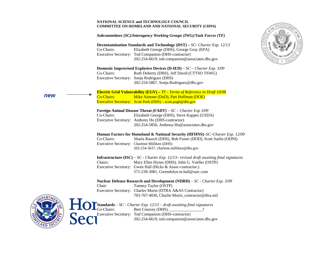#### **NATIONAL SCIENCE and TECHNOLOGY COUNCIL COMMITTEE ON HOMELAND AND NATIONAL SECURITY (CHNS)**  *Subcommittees (SC)/Interagency Working Groups (IWG)/Task Forces (TF)*  **Decontamination Standards and Technology (DST) –** *SC- Charter Exp. 12/13* Co-Chairs: Elizabeth George (DHS), George Gray (EPA) Executive Secretary: Tod Companion (DHS-contractor) 202-254-6619, tod.companion@associates.dhs.gov **Domestic Improvised Explosive Devices (D-IED)** – *SC – Charter Exp. 3/09* Co-Chairs: Ruth Doherty (DHS), Jeff David (CTTSO TSWG) Executive Secretary: Sonja Rodriguez (DHS) 202-254-5867, Sonja.Rodriguez@dhs.gov **Electric Grid Vulnerability (EGV) –** *TF - Terms of Reference in Draft 10/08*  Co-Chairs: Mike Aimone (DoD), Patt Hoffman (DOE) Executive Secretary: Scott Push (DHS) – scott.pugh@dhs.gov **Foreign Animal Disease Threat (FADT)** – *SC – Charter Exp 3/09*  Co-Chairs: Elizabeth George (DHS), Steve Kappes (USDA) Executive Secretary: Anthony Ho (DHS-contractor) 202-254-5856, Anthony.Ho@associates.dhs.gov **Human Factors for Homeland & National Security (HFHNS)** –*SC–Charter Exp. 12/09*  Co-Chairs: Sharla Rausch (DHS), Bob Foster (DOD), Scott Sarlin (ODNI) Executive Secretary: Charlene Milliken (DHS) 202-254-5637, charlene.milliken@dhs.gov **Infrastructure (ISC)** – *SC - Charter Exp. 12/13– revised draft awaiting final signatures*  Chairs: Mary Ellen Hynes (DHS), John G. Voeller (OSTP) Executive Secretary: Gwen Hall (Hicks & Assoc-contractor.) 571-239-3081, Gwendolyn.m.hall@saic.com **Nuclear Defense Research and Development (NDRD)** *– SC - Charter Exp. 3/09* Chair: Tammy Taylor (OSTP) Executive Secretary: Charles Morin (DTRA A&AS Contractor) 703-767-4030, Charlie.Morin\_contractor@dtra.mil **Standards** – *SC - Charter Exp. 12/13 – draft awaiting final signatures*  Co-Chairs: Bert Coursey (DHS), \_\_\_\_\_\_\_\_\_\_\_\_\_\_\_? Executive Secretary: Tod Companion (DHS-contractor) 202-254-6619, tod.companion@associates.dhs.gov *new*

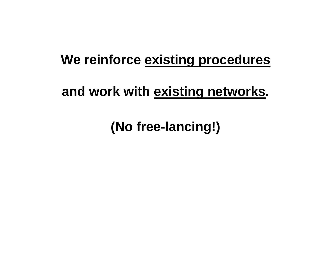### **We reinforce existing procedures**

### **and work with existing networks.**

**(No free-lancing!)**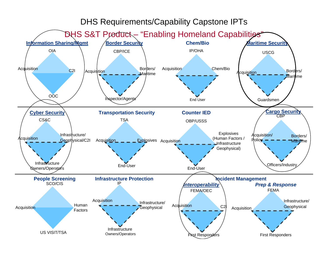#### DHS Requirements/Capability Capstone IPTs

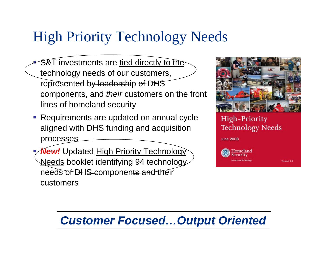# High Priority Technology Needs

- P S&T investments are tied directly to the technology needs of our customers, represented by leadership of DHS components, and *their* customers on the front lines of homeland security
- **Requirements are updated on annual cycle** aligned with DHS funding and acquisition processes
- þ. **New!** Updated High Priority Technology Needs booklet identifying 94 technology needs of DHS components and their customers



#### High-Priority **Technology Needs**

**June 2008** 



Version 2.0

#### *Customer Focused…Output Oriented*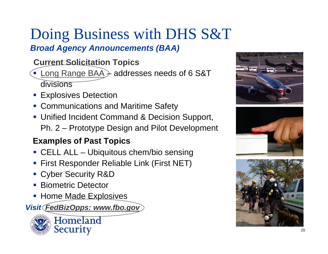## Doing Business with DHS S&T *Broad Agency Announcements (BAA)*

#### **Current Solicitation Topics**

- $\blacksquare$  Long Range BAA $\rightarrow$  addresses needs of 6 S&T divisions
- Explosives Detection
- Communications and Maritime Safety
- **Unified Incident Command & Decision Support,** Ph. 2 – Prototype Design and Pilot Development

#### **Examples of Past Topics**

- CELL ALL Ubiquitous chem/bio sensing
- First Responder Reliable Link (First NET)
- Cyber Security R&D
- **STATE** Biometric Detector
- **Home Made Explosives**

*Visit FedBizOpps: www.fbo.gov*







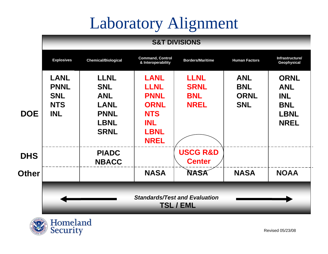# Laboratory Alignment

#### **S&T DIVISIONS**



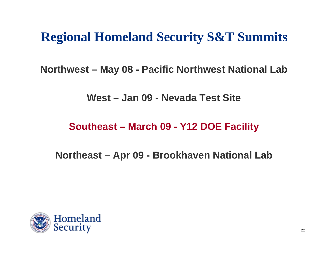## **Regional Homeland Security S&T Summits**

**Northwest – May 08 - Pacific Northwest National Lab** 

**West – Jan 09 - Nevada Test Site**

**Southeast – March 09 - Y12 DOE Facility**

**Northeast – Apr 09 - Brookhaven National Lab** 

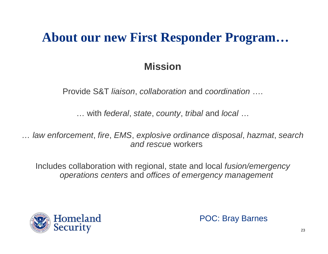### **About our new First Responder Program…**

#### **Mission**

Provide S&T *liaison*, *collaboration* and *coordination* ….

… with *federal*, *state*, *county*, *tribal* and *local*  …

*… law enforcement*, *fire*, *EMS*, *explosive ordinance disposal*, *hazmat*, *search and rescue* workers

Includes collaboration with regional, state and local *fusion/emergency operations centers* and *offices of emergency management*



POC: Bray Barnes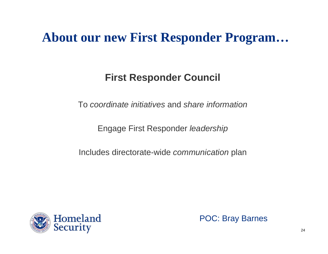### **About our new First Responder Program…**

#### **First Responder Council**

To *coordinate initiatives* and *share information*

Engage First Responder *leadership*

Includes directorate-wide *communication* plan



POC: Bray Barnes